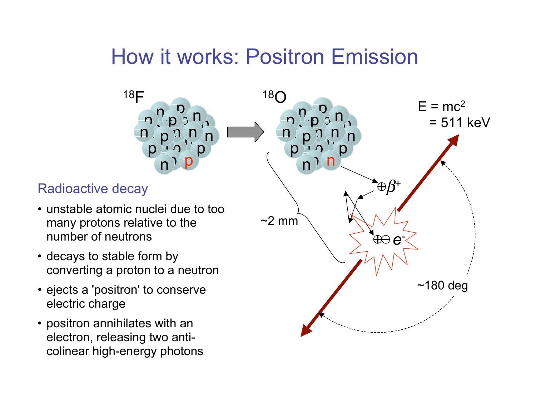#### How it works: Positron Emission



electron, releasing two anticolinear high-energy photons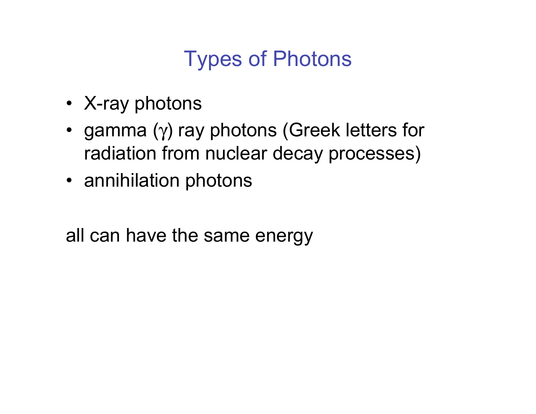# Types of Photons

- X-ray photons
- gamma (γ) ray photons (Greek letters for radiation from nuclear decay processes)
- annihilation photons

all can have the same energy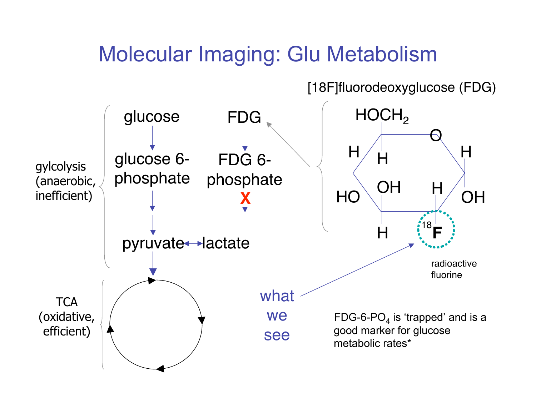#### Molecular Imaging: Glu Metabolism

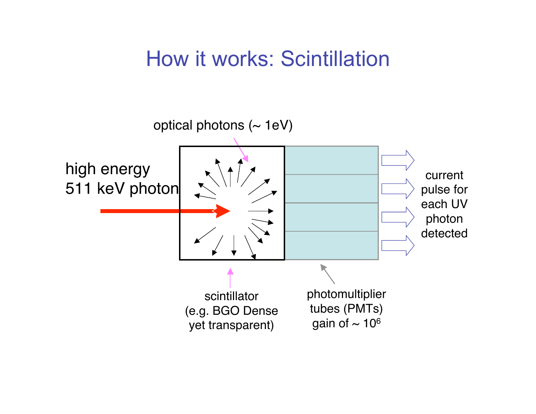#### How it works: Scintillation

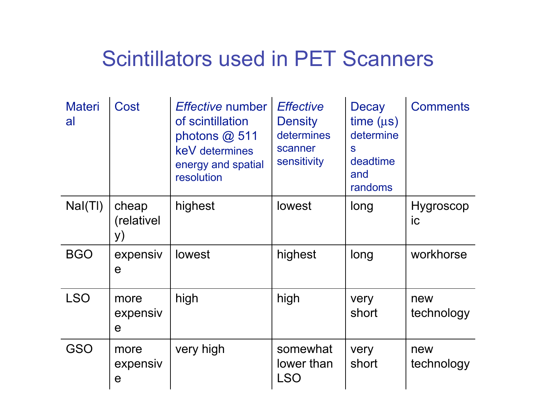#### Scintillators used in PET Scanners

| <b>Materi</b><br>al | Cost                            | <i>Effective</i> number<br>of scintillation<br>photons $@$ 511<br>keV determines<br>energy and spatial<br>resolution | <b>Effective</b><br><b>Density</b><br>determines<br>scanner<br>sensitivity | <b>Decay</b><br>time (µs)<br>determine<br>S<br>deadtime<br>and<br>randoms | <b>Comments</b>        |
|---------------------|---------------------------------|----------------------------------------------------------------------------------------------------------------------|----------------------------------------------------------------------------|---------------------------------------------------------------------------|------------------------|
| Nal(TI)             | cheap<br>(relativel)<br>y)      | highest                                                                                                              | lowest                                                                     | long                                                                      | <b>Hygroscop</b><br>ic |
| <b>BGO</b>          | expensiv<br>e                   | lowest                                                                                                               | highest                                                                    | long                                                                      | workhorse              |
| <b>LSO</b>          | more<br>expensiv<br>e           | high                                                                                                                 | high                                                                       | very<br>short                                                             | new<br>technology      |
| GSO                 | more<br>expensiv<br>$\mathbf e$ | very high                                                                                                            | somewhat<br>lower than<br><b>LSO</b>                                       | very<br>short                                                             | new<br>technology      |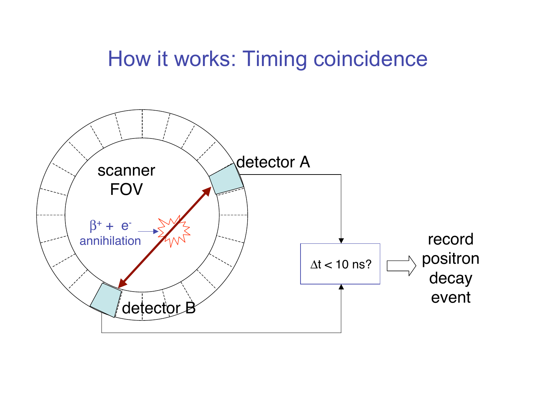#### How it works: Timing coincidence

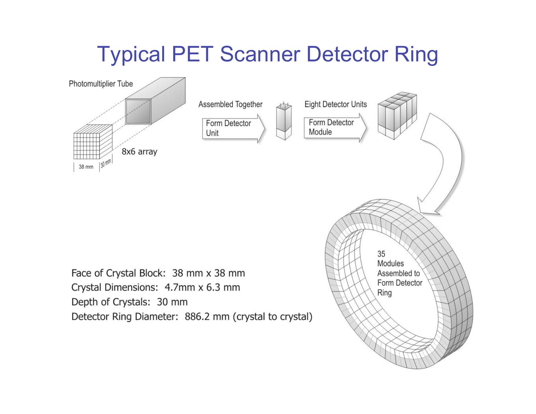# Typical PET Scanner Detector Ring

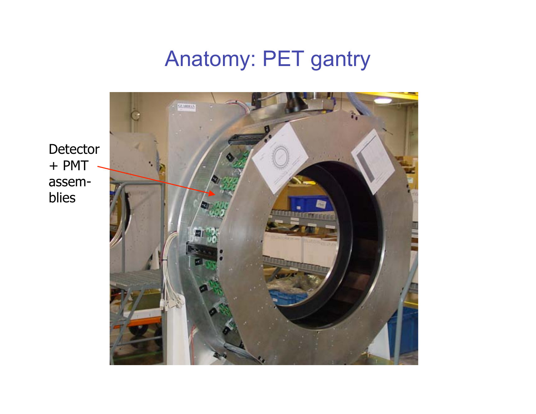# Anatomy: PET gantry

**Detector** + PMT assemblies

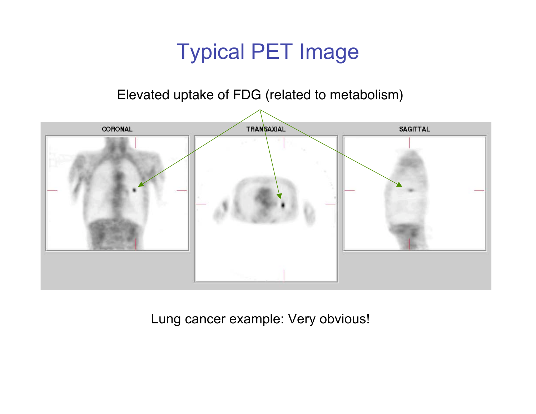### Typical PET Image

#### Elevated uptake of FDG (related to metabolism)



Lung cancer example: Very obvious!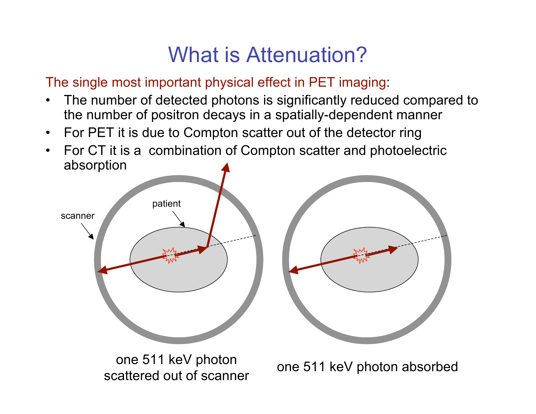# What is Attenuation?

The single most important physical effect in PET imaging:

- The number of detected photons is significantly reduced compared to the number of positron decays in a spatially-dependent manner
- For PET it is due to Compton scatter out of the detector ring
- For CT it is a combination of Compton scatter and photoelectric absorption



one 511 keV photon absorbed

scattered out of scanner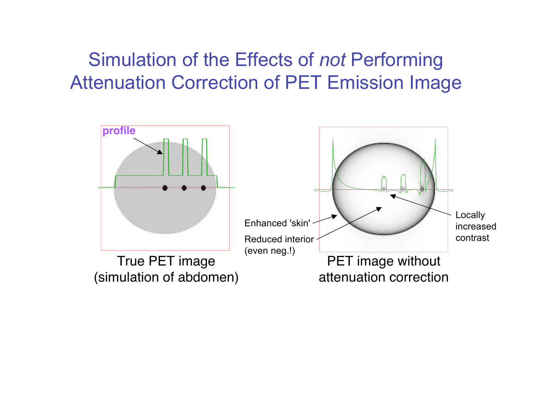#### Simulation of the Effects of *not* Performing Attenuation Correction of PET Emission Image

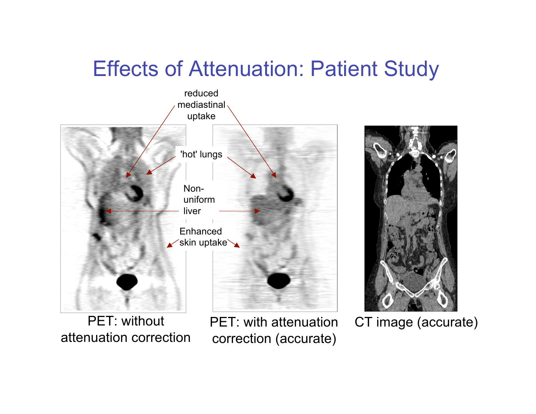#### Effects of Attenuation: Patient Study



PET: without attenuation correction

PET: with attenuation correction (accurate)



CT image (accurate)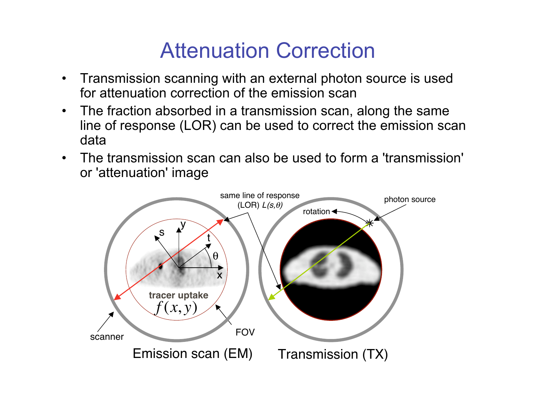#### Attenuation Correction

- Transmission scanning with an external photon source is used for attenuation correction of the emission scan
- The fraction absorbed in a transmission scan, along the same line of response (LOR) can be used to correct the emission scan data
- The transmission scan can also be used to form a 'transmission' or 'attenuation' image

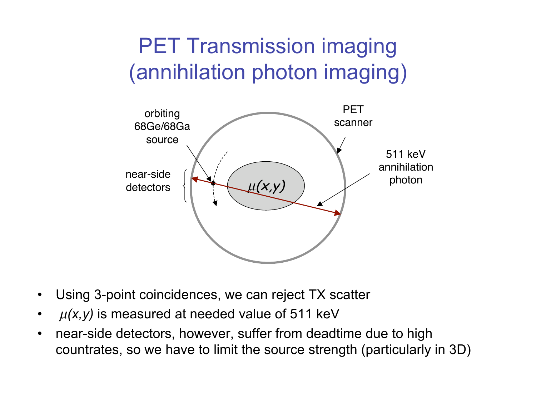# PET Transmission imaging (annihilation photon imaging)



- Using 3-point coincidences, we can reject TX scatter
- $\cdot$   $\mu(x, y)$  is measured at needed value of 511 keV
- near-side detectors, however, suffer from deadtime due to high countrates, so we have to limit the source strength (particularly in 3D)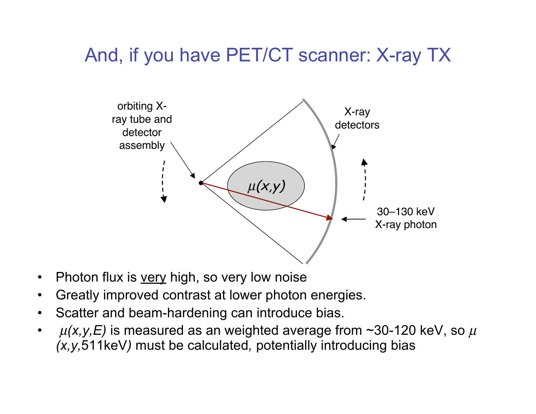#### And, if you have PET/CT scanner: X-ray TX



- Photon flux is very high, so very low noise
- Greatly improved contrast at lower photon energies.
- Scatter and beam-hardening can introduce bias.
- $\mu(x,y,E)$  is measured as an weighted average from ~30-120 keV, so  $\mu$ *(x,y,*511keV*)* must be calculated*,* potentially introducing bias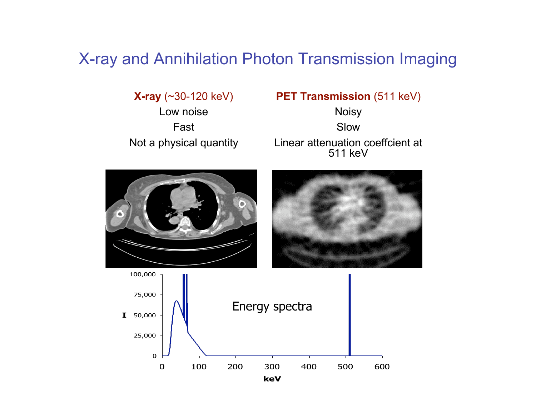#### X-ray and Annihilation Photon Transmission Imaging

Not a physical quantity

#### **X-ray** (~30-120 keV) **PET Transmission** (511 keV)

Linear attenuation coeffcient at 511 keV Fast Slow Low noise **Noisy** 





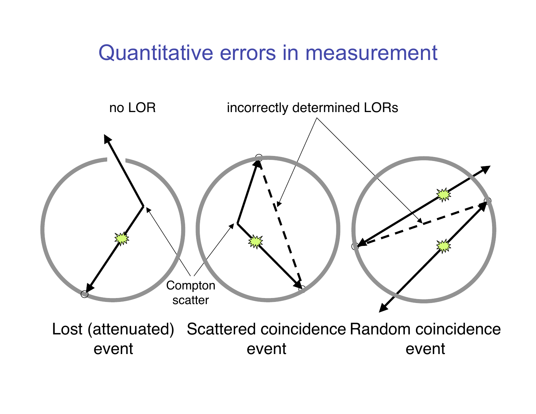#### Quantitative errors in measurement



Lost (attenuated) Scattered coincidence Random coincidence event event event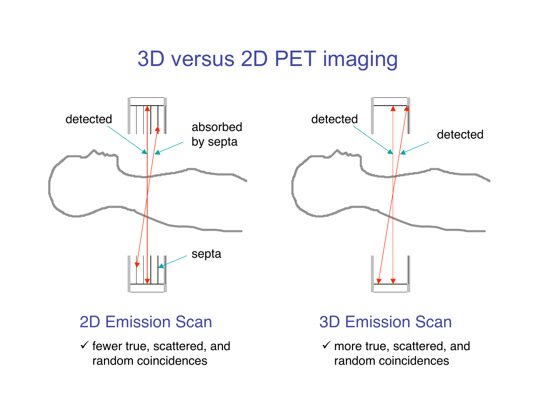## 3D versus 2D PET imaging





 $\checkmark$  fewer true, scattered, and random coincidences

#### 2D Emission Scan 3D Emission Scan

 $\checkmark$  more true, scattered, and random coincidences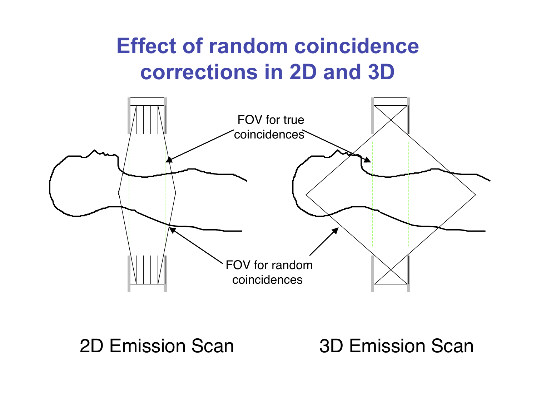# **Effect of random coincidence corrections in 2D and 3D**



2D Emission Scan 3D Emission Scan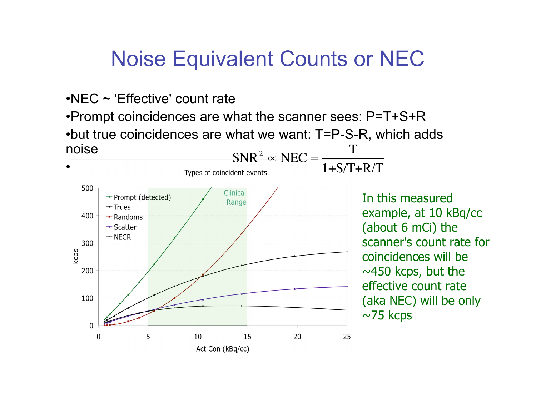#### Noise Equivalent Counts or NEC

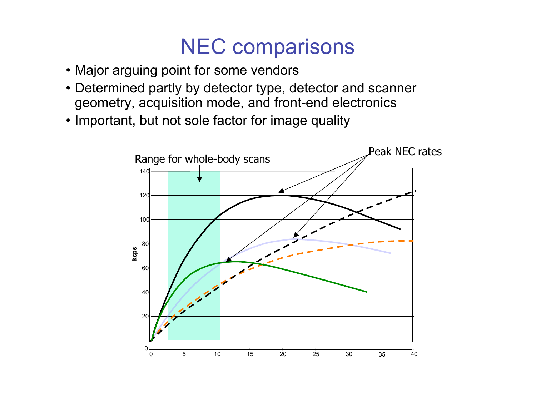#### NEC comparisons

- Major arguing point for some vendors
- Determined partly by detector type, detector and scanner geometry, acquisition mode, and front-end electronics
- Important, but not sole factor for image quality

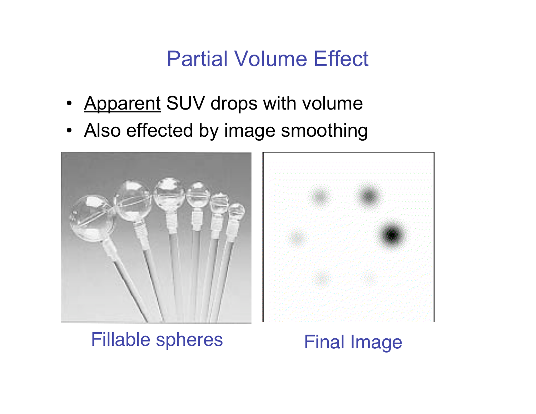### Partial Volume Effect

- Apparent SUV drops with volume
- Also effected by image smoothing



#### Fillable spheres Final Image

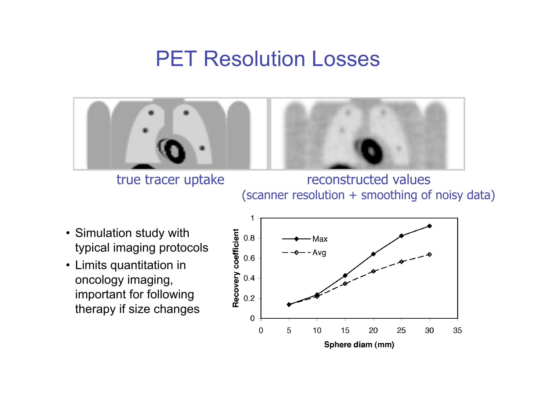#### PET Resolution Losses



true tracer uptake reconstructed values (scanner resolution + smoothing of noisy data)

- Simulation study with typical imaging protocols
- Limits quantitation in oncology imaging, important for following therapy if size changes

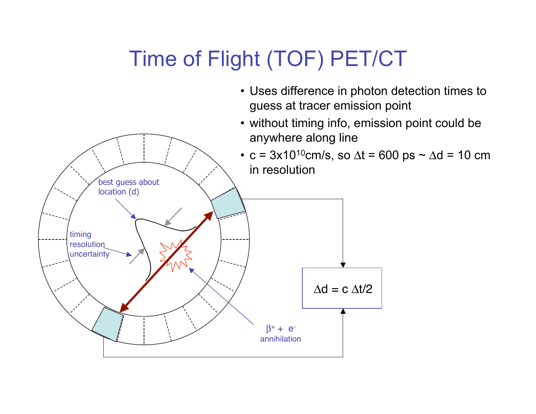# Time of Flight (TOF) PET/CT

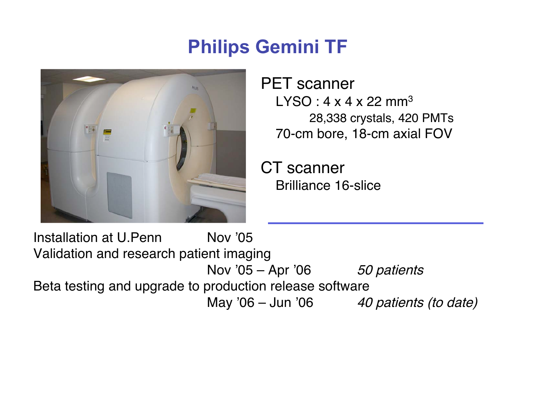#### **Philips Gemini TF**



PET scanner  $LYSO: 4 \times 4 \times 22$  mm<sup>3</sup> 28,338 crystals, 420 PMTs 70-cm bore, 18-cm axial FOV

CT scanner Brilliance 16-slice

Installation at U.Penn Nov '05 Validation and research patient imaging Nov '05 – Apr '06  $50$  patients Beta testing and upgrade to production release software May '06 – Jun '06  $\qquad$  40 patients (to date)